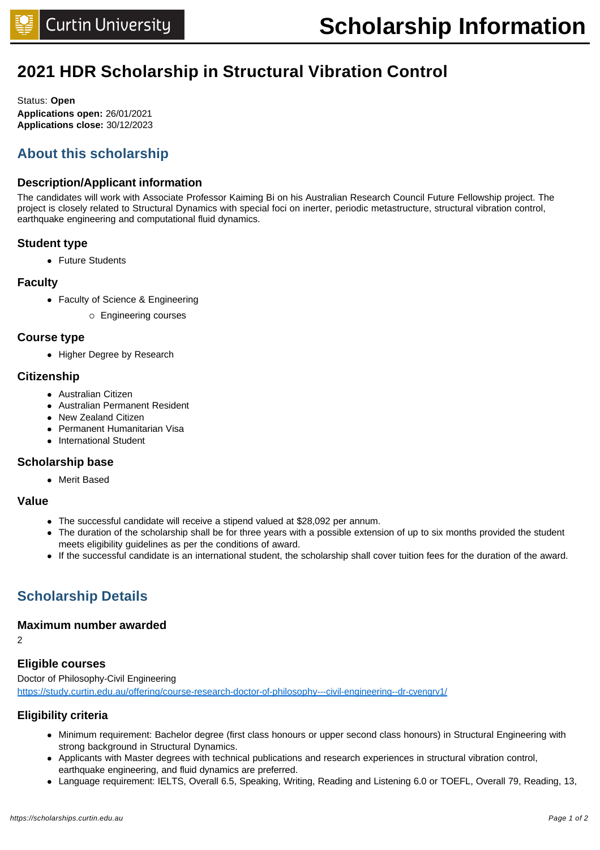## **2021 HDR Scholarship in Structural Vibration Control**

Status: **Open Applications open:** 26/01/2021 **Applications close:** 30/12/2023

## **About this scholarship**

#### **Description/Applicant information**

The candidates will work with Associate Professor Kaiming Bi on his Australian Research Council Future Fellowship project. The project is closely related to Structural Dynamics with special foci on inerter, periodic metastructure, structural vibration control, earthquake engineering and computational fluid dynamics.

#### **Student type**

• Future Students

#### **Faculty**

- Faculty of Science & Engineering
	- ¡ Engineering courses

#### **Course type**

• Higher Degree by Research

#### **Citizenship**

- Australian Citizen
- Australian Permanent Resident
- New Zealand Citizen
- **Permanent Humanitarian Visa**
- International Student

#### **Scholarship base**

• Merit Based

#### **Value**

- The successful candidate will receive a stipend valued at \$28,092 per annum.
- The duration of the scholarship shall be for three years with a possible extension of up to six months provided the student meets eligibility guidelines as per the conditions of award.
- <sup>l</sup> If the successful candidate is an international student, the scholarship shall cover tuition fees for the duration of the award.

## **Scholarship Details**

#### **Maximum number awarded**

2

#### **Eligible courses**

Doctor of Philosophy-Civil Engineering <https://study.curtin.edu.au/offering/course-research-doctor-of-philosophy---civil-engineering--dr-cvengrv1/>

#### **Eligibility criteria**

- Minimum requirement: Bachelor degree (first class honours or upper second class honours) in Structural Engineering with strong background in Structural Dynamics.
- Applicants with Master degrees with technical publications and research experiences in structural vibration control, earthquake engineering, and fluid dynamics are preferred.
- Language requirement: IELTS, Overall 6.5, Speaking, Writing, Reading and Listening 6.0 or TOEFL, Overall 79, Reading, 13,